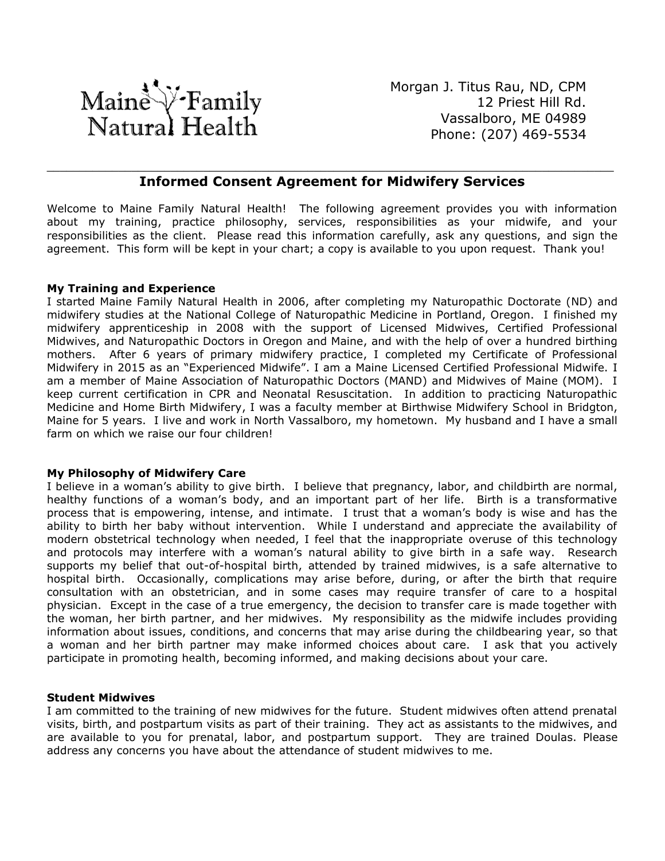

Morgan J. Titus Rau, ND, CPM 12 Priest Hill Rd. Vassalboro, ME 04989 Phone: (207) 469-5534

## \_\_\_\_\_\_\_\_\_\_\_\_\_\_\_\_\_\_\_\_\_\_\_\_\_\_\_\_\_\_\_\_\_\_\_\_\_\_\_\_\_\_\_\_\_\_\_\_\_\_\_\_\_\_\_\_\_\_\_\_\_\_\_\_\_\_\_\_\_\_\_\_\_\_\_\_\_\_\_\_\_\_\_\_\_\_\_ **Informed Consent Agreement for Midwifery Services**

Welcome to Maine Family Natural Health! The following agreement provides you with information about my training, practice philosophy, services, responsibilities as your midwife, and your responsibilities as the client. Please read this information carefully, ask any questions, and sign the agreement. This form will be kept in your chart; a copy is available to you upon request. Thank you!

#### **My Training and Experience**

I started Maine Family Natural Health in 2006, after completing my Naturopathic Doctorate (ND) and midwifery studies at the National College of Naturopathic Medicine in Portland, Oregon. I finished my midwifery apprenticeship in 2008 with the support of Licensed Midwives, Certified Professional Midwives, and Naturopathic Doctors in Oregon and Maine, and with the help of over a hundred birthing mothers. After 6 years of primary midwifery practice, I completed my Certificate of Professional Midwifery in 2015 as an "Experienced Midwife". I am a Maine Licensed Certified Professional Midwife. I am a member of Maine Association of Naturopathic Doctors (MAND) and Midwives of Maine (MOM). I keep current certification in CPR and Neonatal Resuscitation. In addition to practicing Naturopathic Medicine and Home Birth Midwifery, I was a faculty member at Birthwise Midwifery School in Bridgton, Maine for 5 years. I live and work in North Vassalboro, my hometown. My husband and I have a small farm on which we raise our four children!

#### **My Philosophy of Midwifery Care**

I believe in a woman's ability to give birth. I believe that pregnancy, labor, and childbirth are normal, healthy functions of a woman's body, and an important part of her life. Birth is a transformative process that is empowering, intense, and intimate. I trust that a woman's body is wise and has the ability to birth her baby without intervention. While I understand and appreciate the availability of modern obstetrical technology when needed, I feel that the inappropriate overuse of this technology and protocols may interfere with a woman's natural ability to give birth in a safe way. Research supports my belief that out-of-hospital birth, attended by trained midwives, is a safe alternative to hospital birth. Occasionally, complications may arise before, during, or after the birth that require consultation with an obstetrician, and in some cases may require transfer of care to a hospital physician. Except in the case of a true emergency, the decision to transfer care is made together with the woman, her birth partner, and her midwives. My responsibility as the midwife includes providing information about issues, conditions, and concerns that may arise during the childbearing year, so that a woman and her birth partner may make informed choices about care. I ask that you actively participate in promoting health, becoming informed, and making decisions about your care.

#### **Student Midwives**

I am committed to the training of new midwives for the future. Student midwives often attend prenatal visits, birth, and postpartum visits as part of their training. They act as assistants to the midwives, and are available to you for prenatal, labor, and postpartum support. They are trained Doulas. Please address any concerns you have about the attendance of student midwives to me.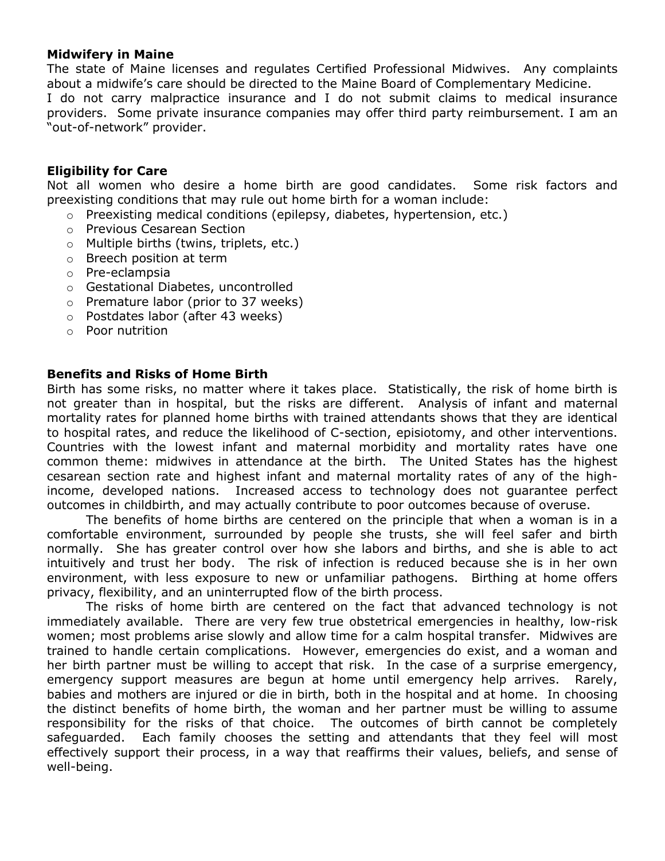## **Midwifery in Maine**

The state of Maine licenses and regulates Certified Professional Midwives. Any complaints about a midwife's care should be directed to the Maine Board of Complementary Medicine.

I do not carry malpractice insurance and I do not submit claims to medical insurance providers. Some private insurance companies may offer third party reimbursement. I am an "out-of-network" provider.

## **Eligibility for Care**

Not all women who desire a home birth are good candidates. Some risk factors and preexisting conditions that may rule out home birth for a woman include:

- o Preexisting medical conditions (epilepsy, diabetes, hypertension, etc.)
- o Previous Cesarean Section
- o Multiple births (twins, triplets, etc.)
- o Breech position at term
- o Pre-eclampsia
- o Gestational Diabetes, uncontrolled
- o Premature labor (prior to 37 weeks)
- o Postdates labor (after 43 weeks)
- o Poor nutrition

#### **Benefits and Risks of Home Birth**

Birth has some risks, no matter where it takes place. Statistically, the risk of home birth is not greater than in hospital, but the risks are different. Analysis of infant and maternal mortality rates for planned home births with trained attendants shows that they are identical to hospital rates, and reduce the likelihood of C-section, episiotomy, and other interventions. Countries with the lowest infant and maternal morbidity and mortality rates have one common theme: midwives in attendance at the birth. The United States has the highest cesarean section rate and highest infant and maternal mortality rates of any of the highincome, developed nations. Increased access to technology does not guarantee perfect outcomes in childbirth, and may actually contribute to poor outcomes because of overuse.

The benefits of home births are centered on the principle that when a woman is in a comfortable environment, surrounded by people she trusts, she will feel safer and birth normally. She has greater control over how she labors and births, and she is able to act intuitively and trust her body. The risk of infection is reduced because she is in her own environment, with less exposure to new or unfamiliar pathogens. Birthing at home offers privacy, flexibility, and an uninterrupted flow of the birth process.

The risks of home birth are centered on the fact that advanced technology is not immediately available. There are very few true obstetrical emergencies in healthy, low-risk women; most problems arise slowly and allow time for a calm hospital transfer. Midwives are trained to handle certain complications. However, emergencies do exist, and a woman and her birth partner must be willing to accept that risk. In the case of a surprise emergency, emergency support measures are begun at home until emergency help arrives. Rarely, babies and mothers are injured or die in birth, both in the hospital and at home. In choosing the distinct benefits of home birth, the woman and her partner must be willing to assume responsibility for the risks of that choice. The outcomes of birth cannot be completely safeguarded. Each family chooses the setting and attendants that they feel will most effectively support their process, in a way that reaffirms their values, beliefs, and sense of well-being.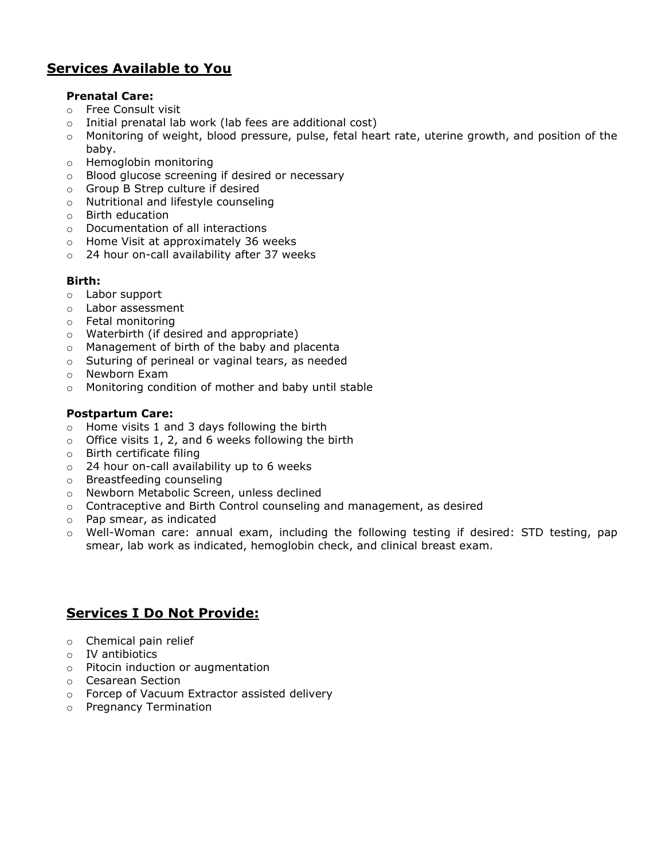# **Services Available to You**

#### **Prenatal Care:**

- o Free Consult visit
- o Initial prenatal lab work (lab fees are additional cost)
- o Monitoring of weight, blood pressure, pulse, fetal heart rate, uterine growth, and position of the baby.
- o Hemoglobin monitoring
- o Blood glucose screening if desired or necessary
- o Group B Strep culture if desired
- o Nutritional and lifestyle counseling
- o Birth education
- o Documentation of all interactions
- o Home Visit at approximately 36 weeks
- o 24 hour on-call availability after 37 weeks

## **Birth:**

- o Labor support
- o Labor assessment
- o Fetal monitoring
- o Waterbirth (if desired and appropriate)
- o Management of birth of the baby and placenta
- o Suturing of perineal or vaginal tears, as needed
- o Newborn Exam
- o Monitoring condition of mother and baby until stable

#### **Postpartum Care:**

- $\circ$  Home visits 1 and 3 days following the birth
- $\circ$  Office visits 1, 2, and 6 weeks following the birth
- o Birth certificate filing
- o 24 hour on-call availability up to 6 weeks
- o Breastfeeding counseling
- o Newborn Metabolic Screen, unless declined
- $\circ$  Contraceptive and Birth Control counseling and management, as desired
- o Pap smear, as indicated
- o Well-Woman care: annual exam, including the following testing if desired: STD testing, pap smear, lab work as indicated, hemoglobin check, and clinical breast exam.

## **Services I Do Not Provide:**

- o Chemical pain relief
- o IV antibiotics
- o Pitocin induction or augmentation
- o Cesarean Section
- o Forcep of Vacuum Extractor assisted delivery
- o Pregnancy Termination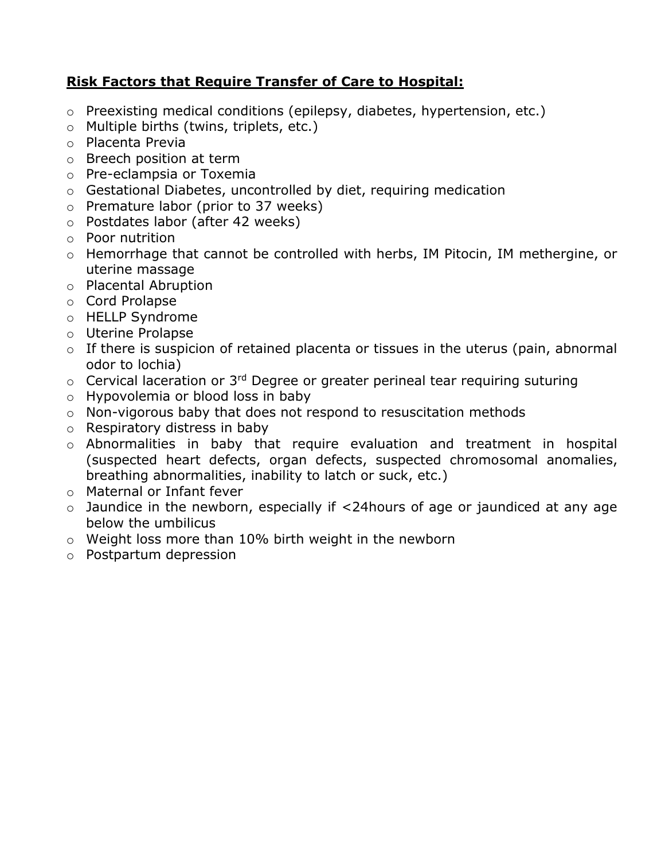# **Risk Factors that Require Transfer of Care to Hospital:**

- o Preexisting medical conditions (epilepsy, diabetes, hypertension, etc.)
- o Multiple births (twins, triplets, etc.)
- o Placenta Previa
- o Breech position at term
- o Pre-eclampsia or Toxemia
- o Gestational Diabetes, uncontrolled by diet, requiring medication
- o Premature labor (prior to 37 weeks)
- o Postdates labor (after 42 weeks)
- o Poor nutrition
- o Hemorrhage that cannot be controlled with herbs, IM Pitocin, IM methergine, or uterine massage
- o Placental Abruption
- o Cord Prolapse
- o HELLP Syndrome
- o Uterine Prolapse
- o If there is suspicion of retained placenta or tissues in the uterus (pain, abnormal odor to lochia)
- $\circ$  Cervical laceration or 3<sup>rd</sup> Degree or greater perineal tear requiring suturing
- o Hypovolemia or blood loss in baby
- o Non-vigorous baby that does not respond to resuscitation methods
- o Respiratory distress in baby
- o Abnormalities in baby that require evaluation and treatment in hospital (suspected heart defects, organ defects, suspected chromosomal anomalies, breathing abnormalities, inability to latch or suck, etc.)
- o Maternal or Infant fever
- o Jaundice in the newborn, especially if <24hours of age or jaundiced at any age below the umbilicus
- o Weight loss more than 10% birth weight in the newborn
- o Postpartum depression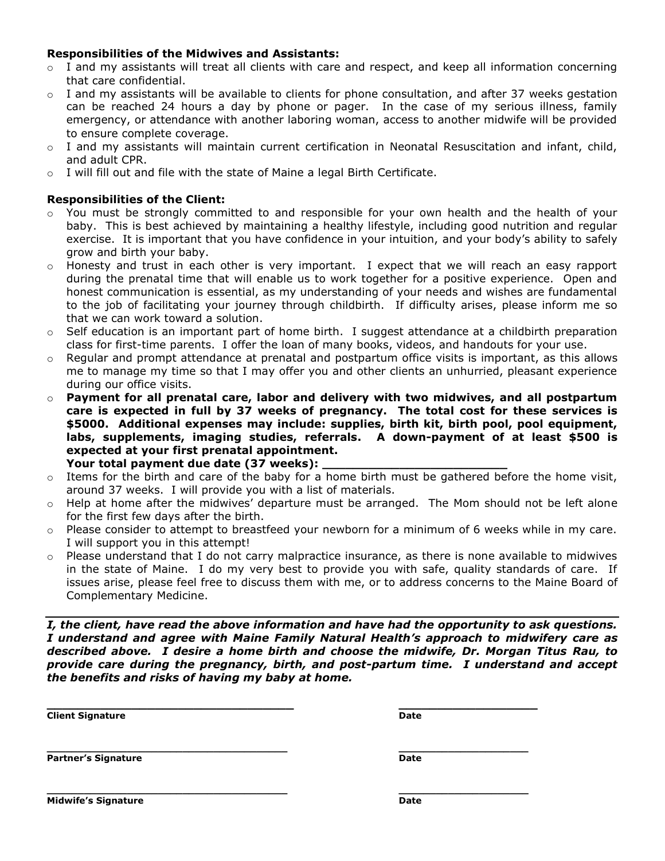#### **Responsibilities of the Midwives and Assistants:**

- $\circ$  I and my assistants will treat all clients with care and respect, and keep all information concerning that care confidential.
- $\circ$  I and my assistants will be available to clients for phone consultation, and after 37 weeks gestation can be reached 24 hours a day by phone or pager. In the case of my serious illness, family emergency, or attendance with another laboring woman, access to another midwife will be provided to ensure complete coverage.
- $\circ$  I and my assistants will maintain current certification in Neonatal Resuscitation and infant, child, and adult CPR.
- $\circ$  I will fill out and file with the state of Maine a legal Birth Certificate.

#### **Responsibilities of the Client:**

- $\circ$  You must be strongly committed to and responsible for your own health and the health of your baby. This is best achieved by maintaining a healthy lifestyle, including good nutrition and regular exercise. It is important that you have confidence in your intuition, and your body's ability to safely grow and birth your baby.
- $\circ$  Honesty and trust in each other is very important. I expect that we will reach an easy rapport during the prenatal time that will enable us to work together for a positive experience. Open and honest communication is essential, as my understanding of your needs and wishes are fundamental to the job of facilitating your journey through childbirth. If difficulty arises, please inform me so that we can work toward a solution.
- $\circ$  Self education is an important part of home birth. I suggest attendance at a childbirth preparation class for first-time parents. I offer the loan of many books, videos, and handouts for your use.
- $\circ$  Regular and prompt attendance at prenatal and postpartum office visits is important, as this allows me to manage my time so that I may offer you and other clients an unhurried, pleasant experience during our office visits.
- o **Payment for all prenatal care, labor and delivery with two midwives, and all postpartum care is expected in full by 37 weeks of pregnancy. The total cost for these services is \$5000. Additional expenses may include: supplies, birth kit, birth pool, pool equipment, labs, supplements, imaging studies, referrals. A down-payment of at least \$500 is expected at your first prenatal appointment.**  Your total payment due date (37 weeks):
- o Items for the birth and care of the baby for a home birth must be gathered before the home visit, around 37 weeks. I will provide you with a list of materials.
- $\circ$  Help at home after the midwives' departure must be arranged. The Mom should not be left alone for the first few days after the birth.
- $\circ$  Please consider to attempt to breastfeed your newborn for a minimum of 6 weeks while in my care. I will support you in this attempt!
- $\circ$  Please understand that I do not carry malpractice insurance, as there is none available to midwives in the state of Maine. I do my very best to provide you with safe, quality standards of care. If issues arise, please feel free to discuss them with me, or to address concerns to the Maine Board of Complementary Medicine.

*I, the client, have read the above information and have had the opportunity to ask questions. I understand and agree with Maine Family Natural Health's approach to midwifery care as described above. I desire a home birth and choose the midwife, Dr. Morgan Titus Rau, to provide care during the pregnancy, birth, and post-partum time. I understand and accept the benefits and risks of having my baby at home.*

**\_\_\_\_\_\_\_\_\_\_\_\_\_\_\_\_\_\_\_\_\_\_\_\_\_\_\_\_\_\_\_\_ \_\_\_\_\_\_\_\_\_\_\_\_\_\_\_\_\_\_**

**\_\_\_\_\_\_\_\_\_\_\_\_\_\_\_\_\_\_\_\_\_\_\_\_\_\_\_\_\_\_\_\_\_\_\_\_\_\_\_ \_\_\_\_\_\_\_\_\_\_\_\_\_\_\_\_\_\_\_\_\_**

**Client Signature Date**

**\_\_\_\_\_\_\_\_\_\_\_\_\_\_\_\_\_\_\_\_\_\_\_\_\_\_\_\_\_\_\_\_\_\_\_\_\_\_\_ \_\_\_\_\_\_\_\_\_\_\_\_\_\_\_\_\_\_\_\_\_ Partner's Signature Date**

**Midwife's Signature Date**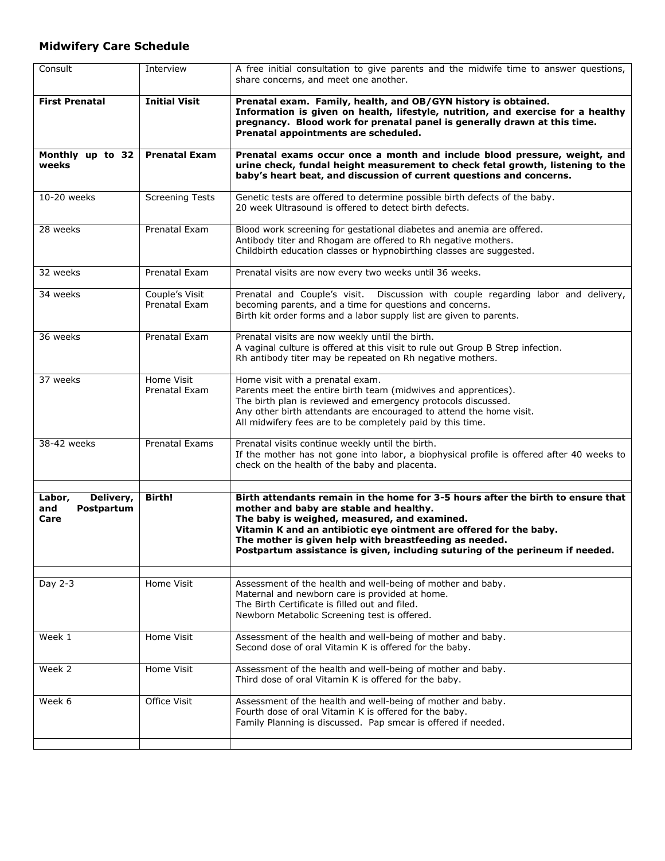## **Midwifery Care Schedule**

| Consult                                          | Interview                       | A free initial consultation to give parents and the midwife time to answer questions,<br>share concerns, and meet one another.                                                                                                                                                                                                                                                               |
|--------------------------------------------------|---------------------------------|----------------------------------------------------------------------------------------------------------------------------------------------------------------------------------------------------------------------------------------------------------------------------------------------------------------------------------------------------------------------------------------------|
| <b>First Prenatal</b>                            | <b>Initial Visit</b>            | Prenatal exam. Family, health, and OB/GYN history is obtained.<br>Information is given on health, lifestyle, nutrition, and exercise for a healthy<br>pregnancy. Blood work for prenatal panel is generally drawn at this time.<br>Prenatal appointments are scheduled.                                                                                                                      |
| Monthly up to 32<br>weeks                        | <b>Prenatal Exam</b>            | Prenatal exams occur once a month and include blood pressure, weight, and<br>urine check, fundal height measurement to check fetal growth, listening to the<br>baby's heart beat, and discussion of current questions and concerns.                                                                                                                                                          |
| 10-20 weeks                                      | <b>Screening Tests</b>          | Genetic tests are offered to determine possible birth defects of the baby.<br>20 week Ultrasound is offered to detect birth defects.                                                                                                                                                                                                                                                         |
| 28 weeks                                         | Prenatal Exam                   | Blood work screening for gestational diabetes and anemia are offered.<br>Antibody titer and Rhogam are offered to Rh negative mothers.<br>Childbirth education classes or hypnobirthing classes are suggested.                                                                                                                                                                               |
| 32 weeks                                         | Prenatal Exam                   | Prenatal visits are now every two weeks until 36 weeks.                                                                                                                                                                                                                                                                                                                                      |
| 34 weeks                                         | Couple's Visit<br>Prenatal Exam | Prenatal and Couple's visit. Discussion with couple regarding labor and delivery,<br>becoming parents, and a time for questions and concerns.<br>Birth kit order forms and a labor supply list are given to parents.                                                                                                                                                                         |
| 36 weeks                                         | Prenatal Exam                   | Prenatal visits are now weekly until the birth.<br>A vaginal culture is offered at this visit to rule out Group B Strep infection.<br>Rh antibody titer may be repeated on Rh negative mothers.                                                                                                                                                                                              |
| 37 weeks                                         | Home Visit<br>Prenatal Exam     | Home visit with a prenatal exam.<br>Parents meet the entire birth team (midwives and apprentices).<br>The birth plan is reviewed and emergency protocols discussed.<br>Any other birth attendants are encouraged to attend the home visit.<br>All midwifery fees are to be completely paid by this time.                                                                                     |
| 38-42 weeks                                      | <b>Prenatal Exams</b>           | Prenatal visits continue weekly until the birth.<br>If the mother has not gone into labor, a biophysical profile is offered after 40 weeks to<br>check on the health of the baby and placenta.                                                                                                                                                                                               |
| Delivery,<br>Labor,<br>Postpartum<br>and<br>Care | Birth!                          | Birth attendants remain in the home for 3-5 hours after the birth to ensure that<br>mother and baby are stable and healthy.<br>The baby is weighed, measured, and examined.<br>Vitamin K and an antibiotic eye ointment are offered for the baby.<br>The mother is given help with breastfeeding as needed.<br>Postpartum assistance is given, including suturing of the perineum if needed. |
| Day 2-3                                          | Home Visit                      | Assessment of the health and well-being of mother and baby.<br>Maternal and newborn care is provided at home.<br>The Birth Certificate is filled out and filed.<br>Newborn Metabolic Screening test is offered.                                                                                                                                                                              |
| Week 1                                           | Home Visit                      | Assessment of the health and well-being of mother and baby.<br>Second dose of oral Vitamin K is offered for the baby.                                                                                                                                                                                                                                                                        |
| Week 2                                           | Home Visit                      | Assessment of the health and well-being of mother and baby.<br>Third dose of oral Vitamin K is offered for the baby.                                                                                                                                                                                                                                                                         |
| Week 6                                           | Office Visit                    | Assessment of the health and well-being of mother and baby.<br>Fourth dose of oral Vitamin K is offered for the baby.<br>Family Planning is discussed. Pap smear is offered if needed.                                                                                                                                                                                                       |